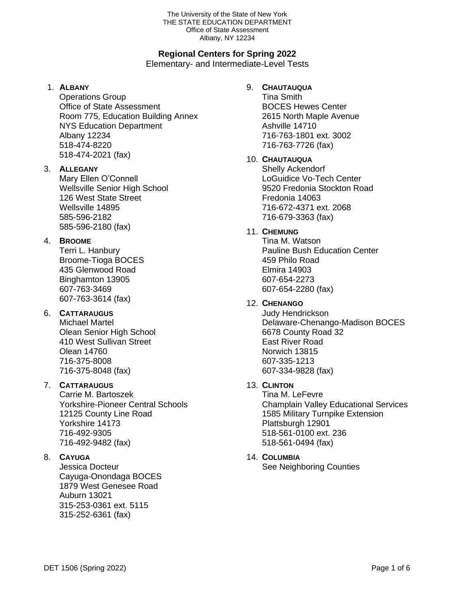#### The University of the State of New York THE STATE EDUCATION DEPARTMENT Office of State Assessment Albany, NY 12234

## **Regional Centers for Spring 2022**

Elementary- and Intermediate-Level Tests

#### 1. **ALBANY**

Operations Group Office of State Assessment Room 775, Education Building Annex NYS Education Department Albany 12234 518-474-8220 518-474-2021 (fax)

#### 3. **ALLEGANY**

Mary Ellen O'Connell Wellsville Senior High School 126 West State Street Wellsville 14895 585-596-2182 585-596-2180 (fax)

## 4. **BROOME**

Terri L. Hanbury Broome-Tioga BOCES 435 Glenwood Road Binghamton 13905 607-763-3469 607-763-3614 (fax)

## 6. **CATTARAUGUS**

Michael Martel Olean Senior High School 410 West Sullivan Street Olean 14760 716-375-8008 716-375-8048 (fax)

## 7. **CATTARAUGUS**

Carrie M. Bartoszek Yorkshire-Pioneer Central Schools 12125 County Line Road Yorkshire 14173 716-492-9305 716-492-9482 (fax)

## 8. **CAYUGA**

Jessica Docteur Cayuga-Onondaga BOCES 1879 West Genesee Road Auburn 13021 315-253-0361 ext. 5115 315-252-6361 (fax)

## 9. **CHAUTAUQUA**

Tina Smith BOCES Hewes Center 2615 North Maple Avenue Ashville 14710 716-763-1801 ext. 3002 716-763-7726 (fax)

## 10. **CHAUTAUQUA**

Shelly Ackendorf LoGuidice Vo-Tech Center 9520 Fredonia Stockton Road Fredonia 14063 716-672-4371 ext. 2068 716-679-3363 (fax)

#### 11. **CHEMUNG**

Tina M. Watson Pauline Bush Education Center 459 Philo Road Elmira 14903 607-654-2273 607-654-2280 (fax)

## 12. **CHENANGO**

Judy Hendrickson Delaware-Chenango-Madison BOCES 6678 County Road 32 East River Road Norwich 13815 607-335-1213 607-334-9828 (fax)

## 13. **CLINTON**

Tina M. LeFevre Champlain Valley Educational Services 1585 Military Turnpike Extension Plattsburgh 12901 518-561-0100 ext. 236 518-561-0494 (fax)

## 14. **COLUMBIA**

See Neighboring Counties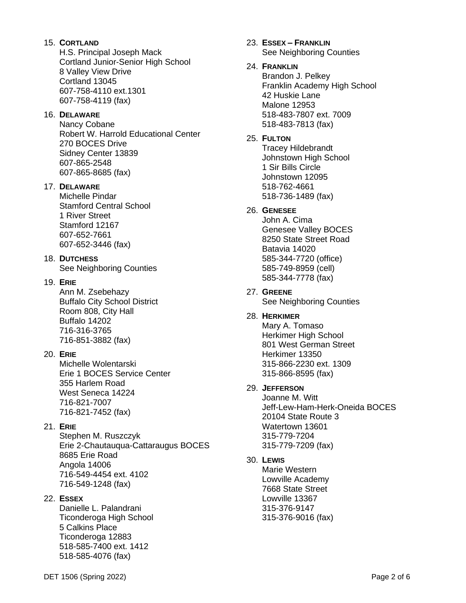#### 15. **CORTLAND**

 H.S. Principal Joseph Mack Cortland Junior-Senior High School 8 Valley View Drive Cortland 13045 607-758-4110 ext.1301 607-758-4119 (fax)

#### 16. **DELAWARE**

 Nancy Cobane Robert W. Harrold Educational Center 270 BOCES Drive Sidney Center 13839 607-865-2548 607-865-8685 (fax)

#### 17. **DELAWARE**

 Michelle Pindar Stamford Central School 1 River Street Stamford 12167 607-652-7661 607-652-3446 (fax)

#### 18. **DUTCHESS**

See Neighboring Counties

#### 19. **ERIE**

 Ann M. Zsebehazy Buffalo City School District Room 808, City Hall Buffalo 14202 716-316-3765 716-851-3882 (fax)

#### 20. **ERIE**

 Michelle Wolentarski Erie 1 BOCES Service Center 355 Harlem Road West Seneca 14224 716-821-7007 716-821-7452 (fax)

#### 21. **ERIE**

 Stephen M. Ruszczyk Erie 2-Chautauqua-Cattaraugus BOCES 8685 Erie Road Angola 14006 716-549-4454 ext. 4102 716-549-1248 (fax)

## 22. **ESSEX**

 Danielle L. Palandrani Ticonderoga High School 5 Calkins Place Ticonderoga 12883 518-585-7400 ext. 1412 518-585-4076 (fax)

#### 23. **ESSEX – FRANKLIN** See Neighboring Counties

#### 24. **FRANKLIN**

 Brandon J. Pelkey Franklin Academy High School 42 Huskie Lane Malone 12953 518-483-7807 ext. 7009 518-483-7813 (fax)

#### 25. **FULTON**

 Tracey Hildebrandt Johnstown High School 1 Sir Bills Circle Johnstown 12095 518-762-4661 518-736-1489 (fax)

#### 26. **GENESEE**

 John A. Cima Genesee Valley BOCES 8250 State Street Road Batavia 14020 585-344-7720 (office) 585-749-8959 (cell) 585-344-7778 (fax)

#### 27. **GREENE** See Neighboring Counties

#### 28. **HERKIMER**

 Mary A. Tomaso Herkimer High School 801 West German Street Herkimer 13350 315-866-2230 ext. 1309 315-866-8595 (fax)

## 29. **JEFFERSON**

 Joanne M. Witt Jeff-Lew-Ham-Herk-Oneida BOCES 20104 State Route 3 Watertown 13601 315-779-7204 315-779-7209 (fax)

## 30. **LEWIS**

 Marie Western Lowville Academy 7668 State Street Lowville 13367 315-376-9147 315-376-9016 (fax)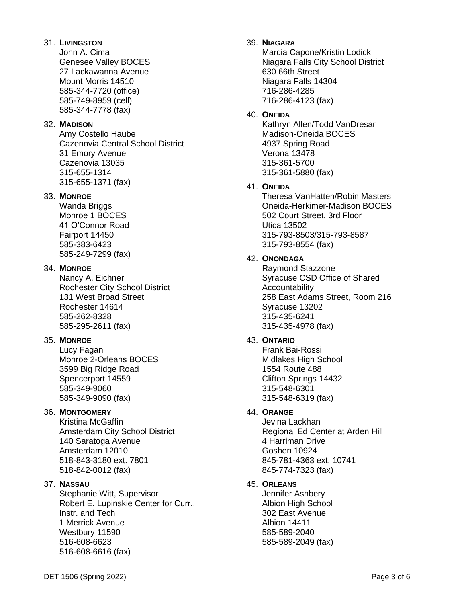#### 31. **LIVINGSTON**

John A. Cima Genesee Valley BOCES 27 Lackawanna Avenue Mount Morris 14510 585-344-7720 (office) 585-749-8959 (cell) 585-344-7778 (fax)

#### 32. **MADISON**

Amy Costello Haube Cazenovia Central School District 31 Emory Avenue Cazenovia 13035 315-655-1314 315-655-1371 (fax)

#### 33. **MONROE**

Wanda Briggs Monroe 1 BOCES 41 O'Connor Road Fairport 14450 585-383-6423 585-249-7299 (fax)

#### 34. **MONROE**

Nancy A. Eichner Rochester City School District 131 West Broad Street Rochester 14614 585-262-8328 585-295-2611 (fax)

#### 35. **MONROE**

Lucy Fagan Monroe 2-Orleans BOCES 3599 Big Ridge Road Spencerport 14559 585-349-9060 585-349-9090 (fax)

#### 36. **MONTGOMERY**

Kristina McGaffin Amsterdam City School District 140 Saratoga Avenue Amsterdam 12010 518-843-3180 ext. 7801 518-842-0012 (fax)

## 37. **NASSAU**

Stephanie Witt, Supervisor Robert E. Lupinskie Center for Curr., Instr. and Tech 1 Merrick Avenue Westbury 11590 516-608-6623 516-608-6616 (fax)

### 39. **NIAGARA**

Marcia Capone/Kristin Lodick Niagara Falls City School District 630 66th Street Niagara Falls 14304 716-286-4285 716-286-4123 (fax)

#### 40. **ONEIDA**

Kathryn Allen/Todd VanDresar Madison-Oneida BOCES 4937 Spring Road Verona 13478 315-361-5700 315-361-5880 (fax)

#### 41. **ONEIDA**

Theresa VanHatten/Robin Masters Oneida-Herkimer-Madison BOCES 502 Court Street, 3rd Floor Utica 13502 315-793-8503/315-793-8587 315-793-8554 (fax)

#### 42. **ONONDAGA**

Raymond Stazzone Syracuse CSD Office of Shared Accountability 258 East Adams Street, Room 216 Syracuse 13202 315-435-6241 315-435-4978 (fax)

## 43. **ONTARIO**

Frank Bai-Rossi Midlakes High School 1554 Route 488 Clifton Springs 14432 315-548-6301 315-548-6319 (fax)

#### 44. **ORANGE**

Jevina Lackhan Regional Ed Center at Arden Hill 4 Harriman Drive Goshen 10924 845-781-4363 ext. 10741 845-774-7323 (fax)

#### 45. **ORLEANS**

Jennifer Ashbery Albion High School 302 East Avenue Albion 14411 585-589-2040 585-589-2049 (fax)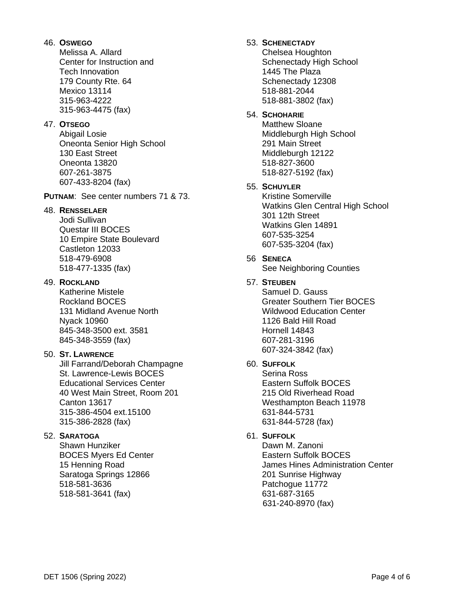#### 46. **OSWEGO**

 Melissa A. Allard Center for Instruction and Tech Innovation 179 County Rte. 64 Mexico 13114 315-963-4222 315-963-4475 (fax)

#### 47. **OTSEGO**

 Abigail Losie Oneonta Senior High School 130 East Street Oneonta 13820 607-261-3875 607-433-8204 (fax)

**PUTNAM**: See center numbers 71 & 73.

#### 48. **RENSSELAER**

 Jodi Sullivan Questar III BOCES 10 Empire State Boulevard Castleton 12033 518-479-6908 518-477-1335 (fax)

#### 49. **ROCKLAND**

Katherine Mistele Rockland BOCES 131 Midland Avenue North Nyack 10960 845-348-3500 ext. 3581 845-348-3559 (fax)

#### 50. **ST. LAWRENCE**

 Jill Farrand/Deborah Champagne St. Lawrence-Lewis BOCES Educational Services Center 40 West Main Street, Room 201 Canton 13617 315-386-4504 ext.15100 315-386-2828 (fax)

#### 52. **SARATOGA**

Shawn Hunziker BOCES Myers Ed Center 15 Henning Road Saratoga Springs 12866 518-581-3636 518-581-3641 (fax)

## 53. **SCHENECTADY**

 Chelsea Houghton Schenectady High School 1445 The Plaza Schenectady 12308 518-881-2044 518-881-3802 (fax)

## 54. **SCHOHARIE**

 Matthew Sloane Middleburgh High School 291 Main Street Middleburgh 12122 518-827-3600 518-827-5192 (fax)

## 55. **SCHUYLER**

 Kristine Somerville Watkins Glen Central High School 301 12th Street Watkins Glen 14891 607-535-3254 607-535-3204 (fax)

# 56 **SENECA**

See Neighboring Counties

## 57. **STEUBEN**

Samuel D. Gauss Greater Southern Tier BOCES Wildwood Education Center 1126 Bald Hill Road Hornell 14843 607-281-3196 607-324-3842 (fax)

## 60. **SUFFOLK**

 Serina Ross Eastern Suffolk BOCES 215 Old Riverhead Road Westhampton Beach 11978 631-844-5731 631-844-5728 (fax)

## 61. **SUFFOLK**

 Dawn M. Zanoni Eastern Suffolk BOCES James Hines Administration Center 201 Sunrise Highway Patchogue 11772 631-687-3165 631-240-8970 (fax)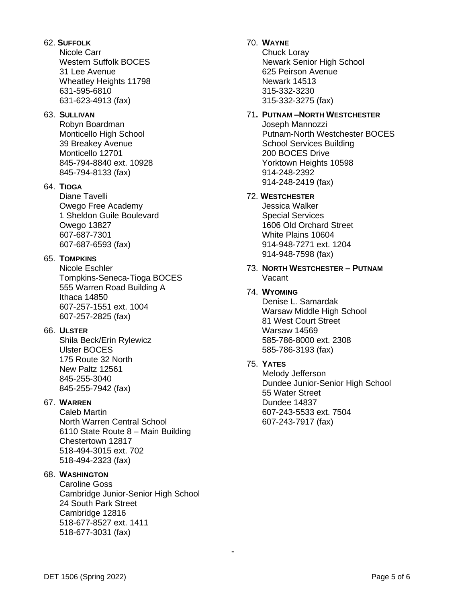#### 62. **SUFFOLK**

Nicole Carr Western Suffolk BOCES 31 Lee Avenue Wheatley Heights 11798 631-595-6810 631-623-4913 (fax)

#### 63. **SULLIVAN**

Robyn Boardman Monticello High School 39 Breakey Avenue Monticello 12701 845-794-8840 ext. 10928 845-794-8133 (fax)

### 64. **TIOGA**

Diane Tavelli Owego Free Academy 1 Sheldon Guile Boulevard Owego 13827 607-687-7301 607-687-6593 (fax)

#### 65. **TOMPKINS**

Nicole Eschler Tompkins-Seneca-Tioga BOCES 555 Warren Road Building A Ithaca 14850 607-257-1551 ext. 1004 607-257-2825 (fax)

#### 66. **ULSTER**

Shila Beck/Erin Rylewicz Ulster BOCES 175 Route 32 North New Paltz 12561 845-255-3040 845-255-7942 (fax)

### 67. **WARREN**

Caleb Martin North Warren Central School 6110 State Route 8 – Main Building Chestertown 12817 518-494-3015 ext. 702 518-494-2323 (fax)

#### 68. **WASHINGTON**

Caroline Goss Cambridge Junior-Senior High School 24 South Park Street Cambridge 12816 518-677-8527 ext. 1411 518-677-3031 (fax)

## 70. **WAYNE**

Chuck Loray Newark Senior High School 625 Peirson Avenue Newark 14513 315-332-3230 315-332-3275 (fax)

### 71**. PUTNAM –NORTH WESTCHESTER**

Joseph Mannozzi Putnam-North Westchester BOCES School Services Building 200 BOCES Drive Yorktown Heights 10598 914-248-2392 914-248-2419 (fax)

#### 72. **WESTCHESTER**

Jessica Walker Special Services 1606 Old Orchard Street White Plains 10604 914-948-7271 ext. 1204 914-948-7598 (fax)

73. **NORTH WESTCHESTER – PUTNAM** Vacant

#### 74. **WYOMING**

Denise L. Samardak Warsaw Middle High School 81 West Court Street Warsaw 14569 585-786-8000 ext. 2308 585-786-3193 (fax)

## 75. **YATES**

**-**

Melody Jefferson Dundee Junior-Senior High School 55 Water Street Dundee 14837 607-243-5533 ext. 7504 607-243-7917 (fax)